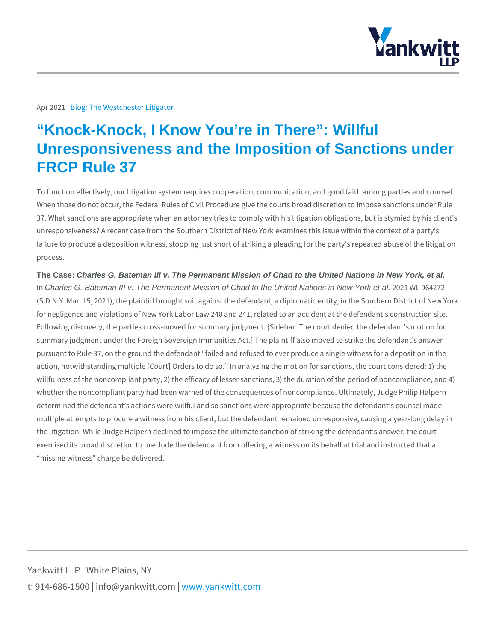## Apr 2021bg: The Westchester Litigator

## "Knock-Knock, I Know You're in There": Willful Unresponsiveness and the Imposition of Sanctions under FRCP Rule 37

To function effectively, our litigation system requires cooperation, communicatio When those do not occur, the Federal Rules of Civil Procedure give the courts bi 37. What sanctions are appropriate when an attorney tries to comply with his liti unresponsiveness? A recent case from the Southern District of New York examine failure to produce a deposition witness, stopping just short of striking a pleading process.

The Case: Charles G. Bateman III v. The Permanent Mission of Chad to the United Nations in New York, et al.

InCharles G. Bateman III v. The Permanent Mission of Chad to the United Nations in New York et al., 2021 WL 964272 (S.D.N.Y. Mar. 15, 2021), the plaintiff brought suit against the defendant, a dipl for negligence and violations of New York Labor Law 240 and 241, related to an Following discovery, the parties cross-moved for summary judgment. [Sidebar: The summary judgment under the Foreign Sovereign Immunities Act.] The plaintiff als pursuant to Rule 37, on the ground the defendant failed and refused to ever pro action, notwithstanding multiple [Court] Orders to do so. In analyzing the motion willfulness of the noncompliant party, 2) the efficacy of lesser sanctions, 3) the whether the noncompliant party had been warned of the consequences of noncom determined the defendant s actions were willful and so sanctions were appropria multiple attempts to procure a witness from his client, but the defendant remaine the litigation. While Judge Halpern declined to impose the ultimate sanction of s exercised its broad discretion to preclude the defendant from offering a witness missing witness charge be delivered.

Yankwitt LLP | White Plains, NY t:  $914 - 686 - 1500$  | info@y wawn ky wom intit wo interport on